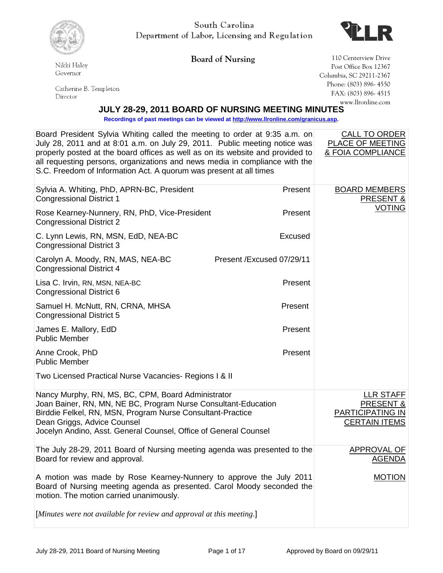

Nikki Haley

South Carolina Department of Labor, Licensing and Regulation



Governor Catherine B. Templeton

 $\rm Director$ 

**Board of Nursing** 110 Centerview Drive Post Office Box 12367 Columbia, SC 29211-2367 Phone: (803) 896- 4550 FAX: (803) 896- 4515 www.llronline.com

## **JULY 28-29, 2011 BOARD OF NURSING MEETING MINUTES**

**Recordings of past meetings can be viewed a[t http://www.llronline.com/granicus.asp.](http://www.llronline.com/granicus.asp)** 

| Board President Sylvia Whiting called the meeting to order at 9:35 a.m. on<br>July 28, 2011 and at 8:01 a.m. on July 29, 2011. Public meeting notice was<br>properly posted at the board offices as well as on its website and provided to<br>all requesting persons, organizations and news media in compliance with the<br>S.C. Freedom of Information Act. A quorum was present at all times |                           | <b>CALL TO ORDER</b><br>PLACE OF MEETING<br>& FOIA COMPLIANCE                        |
|-------------------------------------------------------------------------------------------------------------------------------------------------------------------------------------------------------------------------------------------------------------------------------------------------------------------------------------------------------------------------------------------------|---------------------------|--------------------------------------------------------------------------------------|
| Sylvia A. Whiting, PhD, APRN-BC, President<br><b>Congressional District 1</b>                                                                                                                                                                                                                                                                                                                   | Present                   | <b>BOARD MEMBERS</b><br><b>PRESENT &amp;</b>                                         |
| Rose Kearney-Nunnery, RN, PhD, Vice-President<br><b>Congressional District 2</b>                                                                                                                                                                                                                                                                                                                | Present                   | <b>VOTING</b>                                                                        |
| C. Lynn Lewis, RN, MSN, EdD, NEA-BC<br><b>Congressional District 3</b>                                                                                                                                                                                                                                                                                                                          | Excused                   |                                                                                      |
| Carolyn A. Moody, RN, MAS, NEA-BC<br><b>Congressional District 4</b>                                                                                                                                                                                                                                                                                                                            | Present /Excused 07/29/11 |                                                                                      |
| Lisa C. Irvin, RN, MSN, NEA-BC<br>Congressional District 6                                                                                                                                                                                                                                                                                                                                      | Present                   |                                                                                      |
| Samuel H. McNutt, RN, CRNA, MHSA<br><b>Congressional District 5</b>                                                                                                                                                                                                                                                                                                                             | Present                   |                                                                                      |
| James E. Mallory, EdD<br><b>Public Member</b>                                                                                                                                                                                                                                                                                                                                                   | Present                   |                                                                                      |
| Anne Crook, PhD<br><b>Public Member</b>                                                                                                                                                                                                                                                                                                                                                         | Present                   |                                                                                      |
| Two Licensed Practical Nurse Vacancies- Regions I & II                                                                                                                                                                                                                                                                                                                                          |                           |                                                                                      |
| Nancy Murphy, RN, MS, BC, CPM, Board Administrator<br>Joan Bainer, RN, MN, NE BC, Program Nurse Consultant-Education<br>Birddie Felkel, RN, MSN, Program Nurse Consultant-Practice<br>Dean Griggs, Advice Counsel<br>Jocelyn Andino, Asst. General Counsel, Office of General Counsel                                                                                                           |                           | <b>LLR STAFF</b><br><b>PRESENT &amp;</b><br>PARTICIPATING IN<br><b>CERTAIN ITEMS</b> |
| The July 28-29, 2011 Board of Nursing meeting agenda was presented to the<br>Board for review and approval.                                                                                                                                                                                                                                                                                     |                           | APPROVAL OF<br><b>AGENDA</b>                                                         |
| A motion was made by Rose Kearney-Nunnery to approve the July 2011<br>Board of Nursing meeting agenda as presented. Carol Moody seconded the<br>motion. The motion carried unanimously.                                                                                                                                                                                                         |                           | <b>MOTION</b>                                                                        |
| [Minutes were not available for review and approval at this meeting.]                                                                                                                                                                                                                                                                                                                           |                           |                                                                                      |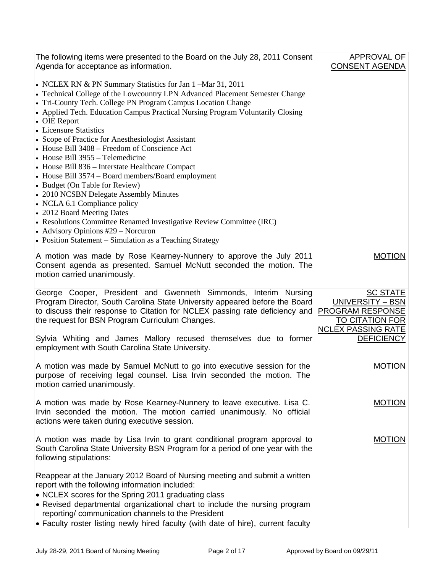| The following items were presented to the Board on the July 28, 2011 Consent<br>Agenda for acceptance as information.                                                                                                                                                                                                                                                                                                 | <b>APPROVAL OF</b><br><b>CONSENT AGENDA</b>                                                                           |
|-----------------------------------------------------------------------------------------------------------------------------------------------------------------------------------------------------------------------------------------------------------------------------------------------------------------------------------------------------------------------------------------------------------------------|-----------------------------------------------------------------------------------------------------------------------|
| • NCLEX RN & PN Summary Statistics for Jan 1 -Mar 31, 2011<br>• Technical College of the Lowcountry LPN Advanced Placement Semester Change<br>• Tri-County Tech. College PN Program Campus Location Change<br>• Applied Tech. Education Campus Practical Nursing Program Voluntarily Closing<br>• OIE Report                                                                                                          |                                                                                                                       |
| • Licensure Statistics<br>• Scope of Practice for Anesthesiologist Assistant<br>• House Bill 3408 – Freedom of Conscience Act<br>• House Bill 3955 – Telemedicine<br>• House Bill 836 - Interstate Healthcare Compact<br>• House Bill 3574 - Board members/Board employment<br>• Budget (On Table for Review)<br>• 2010 NCSBN Delegate Assembly Minutes<br>• NCLA 6.1 Compliance policy<br>• 2012 Board Meeting Dates |                                                                                                                       |
| • Resolutions Committee Renamed Investigative Review Committee (IRC)<br>• Advisory Opinions #29 – Norcuron<br>• Position Statement – Simulation as a Teaching Strategy                                                                                                                                                                                                                                                |                                                                                                                       |
| A motion was made by Rose Kearney-Nunnery to approve the July 2011<br>Consent agenda as presented. Samuel McNutt seconded the motion. The<br>motion carried unanimously.                                                                                                                                                                                                                                              | <b>MOTION</b>                                                                                                         |
| George Cooper, President and Gwenneth Simmonds, Interim Nursing<br>Program Director, South Carolina State University appeared before the Board<br>to discuss their response to Citation for NCLEX passing rate deficiency and<br>the request for BSN Program Curriculum Changes.                                                                                                                                      | <b>SC STATE</b><br>UNIVERSITY - BSN<br><b>PROGRAM RESPONSE</b><br><b>TO CITATION FOR</b><br><b>NCLEX PASSING RATE</b> |
| Sylvia Whiting and James Mallory recused themselves due to former<br>employment with South Carolina State University.                                                                                                                                                                                                                                                                                                 | <b>DEFICIENCY</b>                                                                                                     |
| A motion was made by Samuel McNutt to go into executive session for the<br>purpose of receiving legal counsel. Lisa Irvin seconded the motion. The<br>motion carried unanimously.                                                                                                                                                                                                                                     | <b>MOTION</b>                                                                                                         |
| A motion was made by Rose Kearney-Nunnery to leave executive. Lisa C.<br>Irvin seconded the motion. The motion carried unanimously. No official<br>actions were taken during executive session.                                                                                                                                                                                                                       | <b>MOTION</b>                                                                                                         |
| A motion was made by Lisa Irvin to grant conditional program approval to<br>South Carolina State University BSN Program for a period of one year with the<br>following stipulations:                                                                                                                                                                                                                                  | <b>MOTION</b>                                                                                                         |
| Reappear at the January 2012 Board of Nursing meeting and submit a written<br>report with the following information included:<br>• NCLEX scores for the Spring 2011 graduating class<br>• Revised departmental organizational chart to include the nursing program<br>reporting/ communication channels to the President<br>• Faculty roster listing newly hired faculty (with date of hire), current faculty         |                                                                                                                       |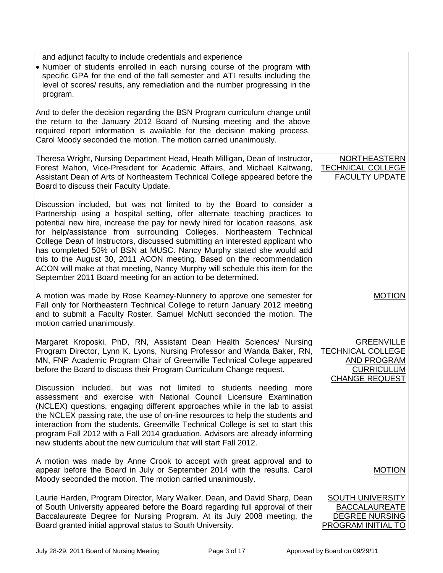| and adjunct faculty to include credentials and experience<br>• Number of students enrolled in each nursing course of the program with<br>specific GPA for the end of the fall semester and ATI results including the<br>level of scores/ results, any remediation and the number progressing in the<br>program.<br>And to defer the decision regarding the BSN Program curriculum change until                                                                                                                                                                                                                                                                                                    |                                                                                                       |
|---------------------------------------------------------------------------------------------------------------------------------------------------------------------------------------------------------------------------------------------------------------------------------------------------------------------------------------------------------------------------------------------------------------------------------------------------------------------------------------------------------------------------------------------------------------------------------------------------------------------------------------------------------------------------------------------------|-------------------------------------------------------------------------------------------------------|
| the return to the January 2012 Board of Nursing meeting and the above<br>required report information is available for the decision making process.<br>Carol Moody seconded the motion. The motion carried unanimously.                                                                                                                                                                                                                                                                                                                                                                                                                                                                            |                                                                                                       |
| Theresa Wright, Nursing Department Head, Heath Milligan, Dean of Instructor,<br>Forest Mahon, Vice-President for Academic Affairs, and Michael Kaltwang,<br>Assistant Dean of Arts of Northeastern Technical College appeared before the<br>Board to discuss their Faculty Update.                                                                                                                                                                                                                                                                                                                                                                                                                | <b>NORTHEASTERN</b><br><b>TECHNICAL COLLEGE</b><br><b>FACULTY UPDATE</b>                              |
| Discussion included, but was not limited to by the Board to consider a<br>Partnership using a hospital setting, offer alternate teaching practices to<br>potential new hire, increase the pay for newly hired for location reasons, ask<br>for help/assistance from surrounding Colleges. Northeastern Technical<br>College Dean of Instructors, discussed submitting an interested applicant who<br>has completed 50% of BSN at MUSC. Nancy Murphy stated she would add<br>this to the August 30, 2011 ACON meeting. Based on the recommendation<br>ACON will make at that meeting, Nancy Murphy will schedule this item for the<br>September 2011 Board meeting for an action to be determined. |                                                                                                       |
| A motion was made by Rose Kearney-Nunnery to approve one semester for<br>Fall only for Northeastern Technical College to return January 2012 meeting<br>and to submit a Faculty Roster. Samuel McNutt seconded the motion. The<br>motion carried unanimously.                                                                                                                                                                                                                                                                                                                                                                                                                                     | <b>MOTION</b>                                                                                         |
| Margaret Kroposki, PhD, RN, Assistant Dean Health Sciences/ Nursing<br>Program Director, Lynn K. Lyons, Nursing Professor and Wanda Baker, RN,<br>MN, FNP Academic Program Chair of Greenville Technical College appeared<br>before the Board to discuss their Program Curriculum Change request.                                                                                                                                                                                                                                                                                                                                                                                                 | <b>GREENVILLE</b><br><b>TECHNICAL COLLEGE</b><br>AND PROGRAM<br><b>CURRICULUM</b><br>CHANGE REQUEST   |
| Discussion included, but was not limited to students needing more<br>assessment and exercise with National Council Licensure Examination<br>(NCLEX) questions, engaging different approaches while in the lab to assist<br>the NCLEX passing rate, the use of on-line resources to help the students and<br>interaction from the students. Greenville Technical College is set to start this<br>program Fall 2012 with a Fall 2014 graduation. Advisors are already informing<br>new students about the new curriculum that will start Fall 2012.                                                                                                                                                 |                                                                                                       |
| A motion was made by Anne Crook to accept with great approval and to<br>appear before the Board in July or September 2014 with the results. Carol<br>Moody seconded the motion. The motion carried unanimously.                                                                                                                                                                                                                                                                                                                                                                                                                                                                                   | <b>MOTION</b>                                                                                         |
| Laurie Harden, Program Director, Mary Walker, Dean, and David Sharp, Dean<br>of South University appeared before the Board regarding full approval of their<br>Baccalaureate Degree for Nursing Program. At its July 2008 meeting, the<br>Board granted initial approval status to South University.                                                                                                                                                                                                                                                                                                                                                                                              | <b>SOUTH UNIVERSITY</b><br><b>BACCALAUREATE</b><br><b>DEGREE NURSING</b><br><b>PROGRAM INITIAL TO</b> |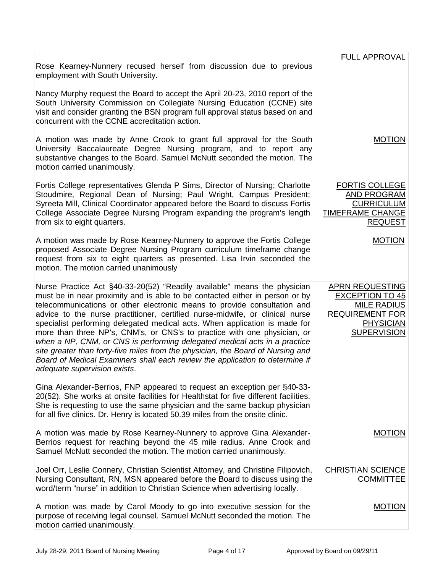|                                                                                                                                                                                                                                                                                                                                                                                                                                                                                                                                                                                                                                                                                                                                                                | <b>FULL APPROVAL</b>                                                                                                                       |
|----------------------------------------------------------------------------------------------------------------------------------------------------------------------------------------------------------------------------------------------------------------------------------------------------------------------------------------------------------------------------------------------------------------------------------------------------------------------------------------------------------------------------------------------------------------------------------------------------------------------------------------------------------------------------------------------------------------------------------------------------------------|--------------------------------------------------------------------------------------------------------------------------------------------|
| Rose Kearney-Nunnery recused herself from discussion due to previous<br>employment with South University.                                                                                                                                                                                                                                                                                                                                                                                                                                                                                                                                                                                                                                                      |                                                                                                                                            |
| Nancy Murphy request the Board to accept the April 20-23, 2010 report of the<br>South University Commission on Collegiate Nursing Education (CCNE) site<br>visit and consider granting the BSN program full approval status based on and<br>concurrent with the CCNE accreditation action.                                                                                                                                                                                                                                                                                                                                                                                                                                                                     |                                                                                                                                            |
| A motion was made by Anne Crook to grant full approval for the South<br>University Baccalaureate Degree Nursing program, and to report any<br>substantive changes to the Board. Samuel McNutt seconded the motion. The<br>motion carried unanimously.                                                                                                                                                                                                                                                                                                                                                                                                                                                                                                          | <b>MOTION</b>                                                                                                                              |
| Fortis College representatives Glenda P Sims, Director of Nursing; Charlotte<br>Stoudmire, Regional Dean of Nursing; Paul Wright, Campus President;<br>Syreeta Mill, Clinical Coordinator appeared before the Board to discuss Fortis<br>College Associate Degree Nursing Program expanding the program's length<br>from six to eight quarters.                                                                                                                                                                                                                                                                                                                                                                                                                | <b>FORTIS COLLEGE</b><br><b>AND PROGRAM</b><br><b>CURRICULUM</b><br><b>TIMEFRAME CHANGE</b><br><b>REQUEST</b>                              |
| A motion was made by Rose Kearney-Nunnery to approve the Fortis College<br>proposed Associate Degree Nursing Program curriculum timeframe change<br>request from six to eight quarters as presented. Lisa Irvin seconded the<br>motion. The motion carried unanimously                                                                                                                                                                                                                                                                                                                                                                                                                                                                                         | <b>MOTION</b>                                                                                                                              |
| Nurse Practice Act §40-33-20(52) "Readily available" means the physician<br>must be in near proximity and is able to be contacted either in person or by<br>telecommunications or other electronic means to provide consultation and<br>advice to the nurse practitioner, certified nurse-midwife, or clinical nurse<br>specialist performing delegated medical acts. When application is made for<br>more than three NP's, CNM's, or CNS's to practice with one physician, or<br>when a NP, CNM, or CNS is performing delegated medical acts in a practice<br>site greater than forty-five miles from the physician, the Board of Nursing and<br>Board of Medical Examiners shall each review the application to determine if<br>adequate supervision exists. | <b>APRN REQUESTING</b><br><b>EXCEPTION TO 45</b><br><b>MILE RADIUS</b><br><b>REQUIREMENT FOR</b><br><b>PHYSICIAN</b><br><b>SUPERVISION</b> |
| Gina Alexander-Berrios, FNP appeared to request an exception per §40-33-<br>20(52). She works at onsite facilities for Healthstat for five different facilities.<br>She is requesting to use the same physician and the same backup physician<br>for all five clinics. Dr. Henry is located 50.39 miles from the onsite clinic.                                                                                                                                                                                                                                                                                                                                                                                                                                |                                                                                                                                            |
| A motion was made by Rose Kearney-Nunnery to approve Gina Alexander-<br>Berrios request for reaching beyond the 45 mile radius. Anne Crook and<br>Samuel McNutt seconded the motion. The motion carried unanimously.                                                                                                                                                                                                                                                                                                                                                                                                                                                                                                                                           | <b>MOTION</b>                                                                                                                              |
| Joel Orr, Leslie Connery, Christian Scientist Attorney, and Christine Filipovich,<br>Nursing Consultant, RN, MSN appeared before the Board to discuss using the<br>word/term "nurse" in addition to Christian Science when advertising locally.                                                                                                                                                                                                                                                                                                                                                                                                                                                                                                                | <b>CHRISTIAN SCIENCE</b><br><b>COMMITTEE</b>                                                                                               |
| A motion was made by Carol Moody to go into executive session for the<br>purpose of receiving legal counsel. Samuel McNutt seconded the motion. The<br>motion carried unanimously.                                                                                                                                                                                                                                                                                                                                                                                                                                                                                                                                                                             | <b>MOTION</b>                                                                                                                              |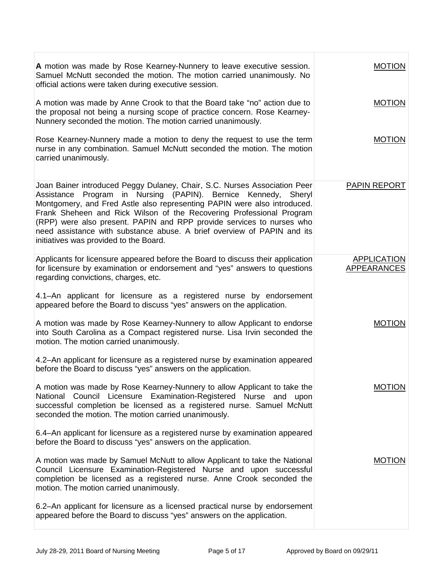| A motion was made by Rose Kearney-Nunnery to leave executive session.<br>Samuel McNutt seconded the motion. The motion carried unanimously. No<br>official actions were taken during executive session.                                                                                                                                                                                                                                                                                             | <b>MOTION</b>                            |
|-----------------------------------------------------------------------------------------------------------------------------------------------------------------------------------------------------------------------------------------------------------------------------------------------------------------------------------------------------------------------------------------------------------------------------------------------------------------------------------------------------|------------------------------------------|
| A motion was made by Anne Crook to that the Board take "no" action due to<br>the proposal not being a nursing scope of practice concern. Rose Kearney-<br>Nunnery seconded the motion. The motion carried unanimously.                                                                                                                                                                                                                                                                              | <b>MOTION</b>                            |
| Rose Kearney-Nunnery made a motion to deny the request to use the term<br>nurse in any combination. Samuel McNutt seconded the motion. The motion<br>carried unanimously.                                                                                                                                                                                                                                                                                                                           | <b>MOTION</b>                            |
| Joan Bainer introduced Peggy Dulaney, Chair, S.C. Nurses Association Peer<br>in Nursing (PAPIN). Bernice Kennedy, Sheryl<br>Program<br>Assistance<br>Montgomery, and Fred Astle also representing PAPIN were also introduced.<br>Frank Sheheen and Rick Wilson of the Recovering Professional Program<br>(RPP) were also present. PAPIN and RPP provide services to nurses who<br>need assistance with substance abuse. A brief overview of PAPIN and its<br>initiatives was provided to the Board. | <b>PAPIN REPORT</b>                      |
| Applicants for licensure appeared before the Board to discuss their application<br>for licensure by examination or endorsement and "yes" answers to questions<br>regarding convictions, charges, etc.                                                                                                                                                                                                                                                                                               | <b>APPLICATION</b><br><b>APPEARANCES</b> |
| 4.1–An applicant for licensure as a registered nurse by endorsement<br>appeared before the Board to discuss "yes" answers on the application.                                                                                                                                                                                                                                                                                                                                                       |                                          |
| A motion was made by Rose Kearney-Nunnery to allow Applicant to endorse<br>into South Carolina as a Compact registered nurse. Lisa Irvin seconded the<br>motion. The motion carried unanimously.                                                                                                                                                                                                                                                                                                    | <b>MOTION</b>                            |
| 4.2–An applicant for licensure as a registered nurse by examination appeared<br>before the Board to discuss "yes" answers on the application.                                                                                                                                                                                                                                                                                                                                                       |                                          |
| A motion was made by Rose Kearney-Nunnery to allow Applicant to take the<br>National Council Licensure Examination-Registered Nurse and upon<br>successful completion be licensed as a registered nurse. Samuel McNutt<br>seconded the motion. The motion carried unanimously.                                                                                                                                                                                                                      | <b>MOTION</b>                            |
| 6.4-An applicant for licensure as a registered nurse by examination appeared<br>before the Board to discuss "yes" answers on the application.                                                                                                                                                                                                                                                                                                                                                       |                                          |
| A motion was made by Samuel McNutt to allow Applicant to take the National<br>Council Licensure Examination-Registered Nurse and upon successful<br>completion be licensed as a registered nurse. Anne Crook seconded the<br>motion. The motion carried unanimously.                                                                                                                                                                                                                                | <b>MOTION</b>                            |
| 6.2–An applicant for licensure as a licensed practical nurse by endorsement<br>appeared before the Board to discuss "yes" answers on the application.                                                                                                                                                                                                                                                                                                                                               |                                          |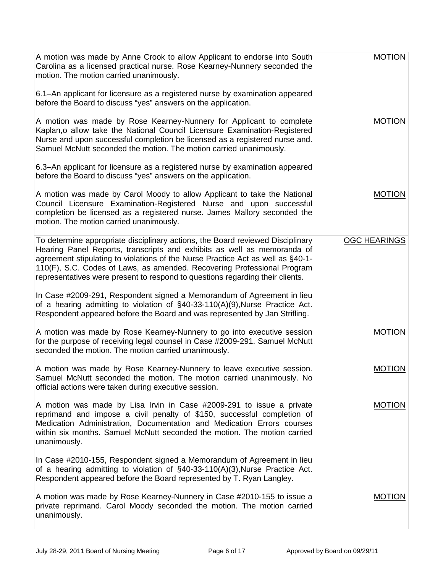| A motion was made by Anne Crook to allow Applicant to endorse into South<br>Carolina as a licensed practical nurse. Rose Kearney-Nunnery seconded the<br>motion. The motion carried unanimously.<br>6.1–An applicant for licensure as a registered nurse by examination appeared<br>before the Board to discuss "yes" answers on the application.                                                        | <b>MOTION</b>       |
|----------------------------------------------------------------------------------------------------------------------------------------------------------------------------------------------------------------------------------------------------------------------------------------------------------------------------------------------------------------------------------------------------------|---------------------|
| A motion was made by Rose Kearney-Nunnery for Applicant to complete<br>Kaplan, o allow take the National Council Licensure Examination-Registered<br>Nurse and upon successful completion be licensed as a registered nurse and.<br>Samuel McNutt seconded the motion. The motion carried unanimously.                                                                                                   | <b>MOTION</b>       |
| 6.3-An applicant for licensure as a registered nurse by examination appeared<br>before the Board to discuss "yes" answers on the application.                                                                                                                                                                                                                                                            |                     |
| A motion was made by Carol Moody to allow Applicant to take the National<br>Council Licensure Examination-Registered Nurse and upon successful<br>completion be licensed as a registered nurse. James Mallory seconded the<br>motion. The motion carried unanimously.                                                                                                                                    | <b>MOTION</b>       |
| To determine appropriate disciplinary actions, the Board reviewed Disciplinary<br>Hearing Panel Reports, transcripts and exhibits as well as memoranda of<br>agreement stipulating to violations of the Nurse Practice Act as well as §40-1-<br>110(F), S.C. Codes of Laws, as amended. Recovering Professional Program<br>representatives were present to respond to questions regarding their clients. | <b>OGC HEARINGS</b> |
| In Case #2009-291, Respondent signed a Memorandum of Agreement in lieu<br>of a hearing admitting to violation of §40-33-110(A)(9), Nurse Practice Act.<br>Respondent appeared before the Board and was represented by Jan Strifling.                                                                                                                                                                     |                     |
| A motion was made by Rose Kearney-Nunnery to go into executive session<br>for the purpose of receiving legal counsel in Case #2009-291. Samuel McNutt<br>seconded the motion. The motion carried unanimously.                                                                                                                                                                                            | <b>MOTION</b>       |
| A motion was made by Rose Kearney-Nunnery to leave executive session.<br>Samuel McNutt seconded the motion. The motion carried unanimously. No<br>official actions were taken during executive session.                                                                                                                                                                                                  | <b>MOTION</b>       |
| A motion was made by Lisa Irvin in Case #2009-291 to issue a private<br>reprimand and impose a civil penalty of \$150, successful completion of<br>Medication Administration, Documentation and Medication Errors courses<br>within six months. Samuel McNutt seconded the motion. The motion carried<br>unanimously.                                                                                    | <b>MOTION</b>       |
| In Case #2010-155, Respondent signed a Memorandum of Agreement in lieu<br>of a hearing admitting to violation of §40-33-110(A)(3), Nurse Practice Act.<br>Respondent appeared before the Board represented by T. Ryan Langley.                                                                                                                                                                           |                     |
| A motion was made by Rose Kearney-Nunnery in Case #2010-155 to issue a<br>private reprimand. Carol Moody seconded the motion. The motion carried<br>unanimously.                                                                                                                                                                                                                                         | <b>MOTION</b>       |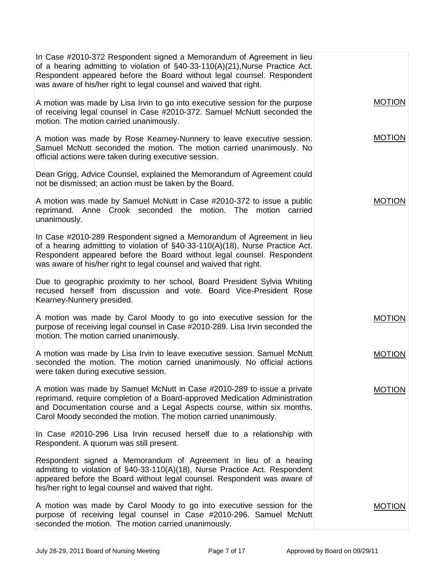| In Case #2010-372 Respondent signed a Memorandum of Agreement in lieu<br>of a hearing admitting to violation of $\S$ 40-33-110(A)(21), Nurse Practice Act.<br>Respondent appeared before the Board without legal counsel. Respondent<br>was aware of his/her right to legal counsel and waived that right. |               |
|------------------------------------------------------------------------------------------------------------------------------------------------------------------------------------------------------------------------------------------------------------------------------------------------------------|---------------|
| A motion was made by Lisa Irvin to go into executive session for the purpose<br>of receiving legal counsel in Case #2010-372. Samuel McNutt seconded the<br>motion. The motion carried unanimously.                                                                                                        | <b>MOTION</b> |
| A motion was made by Rose Kearney-Nunnery to leave executive session.<br>Samuel McNutt seconded the motion. The motion carried unanimously. No<br>official actions were taken during executive session.                                                                                                    | <b>MOTION</b> |
| Dean Grigg, Advice Counsel, explained the Memorandum of Agreement could<br>not be dismissed; an action must be taken by the Board.                                                                                                                                                                         |               |
| A motion was made by Samuel McNutt in Case #2010-372 to issue a public<br>reprimand. Anne Crook seconded the motion. The motion carried<br>unanimously.                                                                                                                                                    | <b>MOTION</b> |
| In Case #2010-289 Respondent signed a Memorandum of Agreement in lieu<br>of a hearing admitting to violation of §40-33-110(A)(18), Nurse Practice Act.<br>Respondent appeared before the Board without legal counsel. Respondent<br>was aware of his/her right to legal counsel and waived that right.     |               |
| Due to geographic proximity to her school, Board President Sylvia Whiting<br>recused herself from discussion and vote. Board Vice-President Rose<br>Kearney-Nunnery presided.                                                                                                                              |               |
| A motion was made by Carol Moody to go into executive session for the<br>purpose of receiving legal counsel in Case #2010-289. Lisa Irvin seconded the<br>motion. The motion carried unanimously.                                                                                                          | <b>MOTION</b> |
| A motion was made by Lisa Irvin to leave executive session. Samuel McNutt<br>seconded the motion. The motion carried unanimously. No official actions<br>were taken during executive session.                                                                                                              | <b>MOTION</b> |
| A motion was made by Samuel McNutt in Case #2010-289 to issue a private<br>reprimand, require completion of a Board-approved Medication Administration<br>and Documentation course and a Legal Aspects course, within six months.<br>Carol Moody seconded the motion. The motion carried unanimously.      | MUTION        |
| In Case #2010-296 Lisa Irvin recused herself due to a relationship with<br>Respondent. A quorum was still present.                                                                                                                                                                                         |               |
| Respondent signed a Memorandum of Agreement in lieu of a hearing<br>admitting to violation of §40-33-110(A)(18), Nurse Practice Act. Respondent<br>appeared before the Board without legal counsel. Respondent was aware of<br>his/her right to legal counsel and waived that right.                       |               |
| A motion was made by Carol Moody to go into executive session for the<br>purpose of receiving legal counsel in Case #2010-296. Samuel McNutt<br>seconded the motion. The motion carried unanimously.                                                                                                       | <b>MOTION</b> |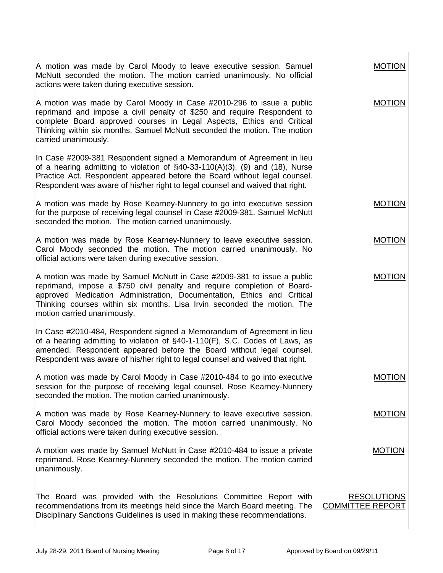| A motion was made by Carol Moody to leave executive session. Samuel<br>McNutt seconded the motion. The motion carried unanimously. No official<br>actions were taken during executive session.                                                                                                                                         | <b>MOTION</b>                                 |
|----------------------------------------------------------------------------------------------------------------------------------------------------------------------------------------------------------------------------------------------------------------------------------------------------------------------------------------|-----------------------------------------------|
| A motion was made by Carol Moody in Case #2010-296 to issue a public<br>reprimand and impose a civil penalty of \$250 and require Respondent to<br>complete Board approved courses in Legal Aspects, Ethics and Critical<br>Thinking within six months. Samuel McNutt seconded the motion. The motion<br>carried unanimously.          | <b>MOTION</b>                                 |
| In Case #2009-381 Respondent signed a Memorandum of Agreement in lieu<br>of a hearing admitting to violation of $\S$ 40-33-110(A)(3), (9) and (18), Nurse<br>Practice Act. Respondent appeared before the Board without legal counsel.<br>Respondent was aware of his/her right to legal counsel and waived that right.                |                                               |
| A motion was made by Rose Kearney-Nunnery to go into executive session<br>for the purpose of receiving legal counsel in Case #2009-381. Samuel McNutt<br>seconded the motion. The motion carried unanimously.                                                                                                                          | <b>MOTION</b>                                 |
| A motion was made by Rose Kearney-Nunnery to leave executive session.<br>Carol Moody seconded the motion. The motion carried unanimously. No<br>official actions were taken during executive session.                                                                                                                                  | <b>MOTION</b>                                 |
| A motion was made by Samuel McNutt in Case #2009-381 to issue a public<br>reprimand, impose a \$750 civil penalty and require completion of Board-<br>approved Medication Administration, Documentation, Ethics and Critical<br>Thinking courses within six months. Lisa Irvin seconded the motion. The<br>motion carried unanimously. | <b>MOTION</b>                                 |
| In Case #2010-484, Respondent signed a Memorandum of Agreement in lieu<br>of a hearing admitting to violation of §40-1-110(F), S.C. Codes of Laws, as<br>amended. Respondent appeared before the Board without legal counsel.<br>Respondent was aware of his/her right to legal counsel and waived that right.                         |                                               |
| A motion was made by Carol Moody in Case #2010-484 to go into executive<br>session for the purpose of receiving legal counsel. Rose Kearney-Nunnery<br>seconded the motion. The motion carried unanimously.                                                                                                                            | <b>MOTION</b>                                 |
| A motion was made by Rose Kearney-Nunnery to leave executive session.<br>Carol Moody seconded the motion. The motion carried unanimously. No<br>official actions were taken during executive session.                                                                                                                                  | <b>MOTION</b>                                 |
| A motion was made by Samuel McNutt in Case #2010-484 to issue a private<br>reprimand. Rose Kearney-Nunnery seconded the motion. The motion carried<br>unanimously.                                                                                                                                                                     | <b>MOTION</b>                                 |
| The Board was provided with the Resolutions Committee Report with<br>recommendations from its meetings held since the March Board meeting. The<br>Disciplinary Sanctions Guidelines is used in making these recommendations.                                                                                                           | <b>RESOLUTIONS</b><br><b>COMMITTEE REPORT</b> |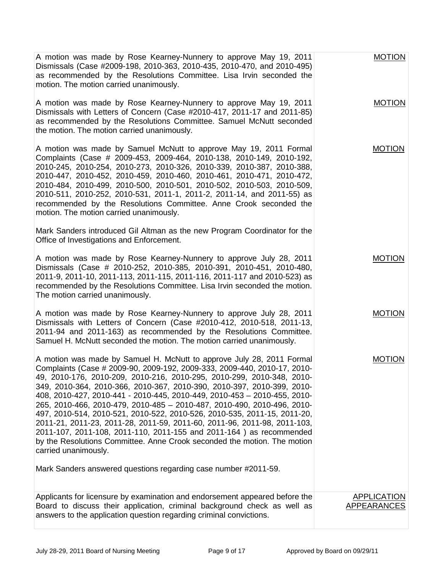| A motion was made by Rose Kearney-Nunnery to approve May 19, 2011<br>Dismissals (Case #2009-198, 2010-363, 2010-435, 2010-470, and 2010-495)<br>as recommended by the Resolutions Committee. Lisa Irvin seconded the<br>motion. The motion carried unanimously.                                                                                                                                                                                                                                                                                                                                                                                                                                                                                                                                                                                                   | <b>MOTION</b>      |
|-------------------------------------------------------------------------------------------------------------------------------------------------------------------------------------------------------------------------------------------------------------------------------------------------------------------------------------------------------------------------------------------------------------------------------------------------------------------------------------------------------------------------------------------------------------------------------------------------------------------------------------------------------------------------------------------------------------------------------------------------------------------------------------------------------------------------------------------------------------------|--------------------|
| A motion was made by Rose Kearney-Nunnery to approve May 19, 2011<br>Dismissals with Letters of Concern (Case #2010-417, 2011-17 and 2011-85)<br>as recommended by the Resolutions Committee. Samuel McNutt seconded<br>the motion. The motion carried unanimously.                                                                                                                                                                                                                                                                                                                                                                                                                                                                                                                                                                                               | <b>MOTION</b>      |
| A motion was made by Samuel McNutt to approve May 19, 2011 Formal<br>Complaints (Case # 2009-453, 2009-464, 2010-138, 2010-149, 2010-192,<br>2010-245, 2010-254, 2010-273, 2010-326, 2010-339, 2010-387, 2010-388,<br>2010-447, 2010-452, 2010-459, 2010-460, 2010-461, 2010-471, 2010-472,<br>2010-484, 2010-499, 2010-500, 2010-501, 2010-502, 2010-503, 2010-509,<br>2010-511, 2010-252, 2010-531, 2011-1, 2011-2, 2011-14, and 2011-55) as<br>recommended by the Resolutions Committee. Anne Crook seconded the<br>motion. The motion carried unanimously.                                                                                                                                                                                                                                                                                                    | <b>MOTION</b>      |
| Mark Sanders introduced Gil Altman as the new Program Coordinator for the<br>Office of Investigations and Enforcement.                                                                                                                                                                                                                                                                                                                                                                                                                                                                                                                                                                                                                                                                                                                                            |                    |
| A motion was made by Rose Kearney-Nunnery to approve July 28, 2011<br>Dismissals (Case # 2010-252, 2010-385, 2010-391, 2010-451, 2010-480,<br>2011-9, 2011-10, 2011-113, 2011-115, 2011-116, 2011-117 and 2010-523) as<br>recommended by the Resolutions Committee. Lisa Irvin seconded the motion.<br>The motion carried unanimously.                                                                                                                                                                                                                                                                                                                                                                                                                                                                                                                            | <b>MOTION</b>      |
| A motion was made by Rose Kearney-Nunnery to approve July 28, 2011<br>Dismissals with Letters of Concern (Case #2010-412, 2010-518, 2011-13,<br>2011-94 and 2011-163) as recommended by the Resolutions Committee.<br>Samuel H. McNutt seconded the motion. The motion carried unanimously.                                                                                                                                                                                                                                                                                                                                                                                                                                                                                                                                                                       | <b>MOTION</b>      |
| A motion was made by Samuel H. McNutt to approve July 28, 2011 Formal<br>Complaints (Case # 2009-90, 2009-192, 2009-333, 2009-440, 2010-17, 2010-<br>49, 2010-176, 2010-209, 2010-216, 2010-295, 2010-299, 2010-348, 2010-<br>349, 2010-364, 2010-366, 2010-367, 2010-390, 2010-397, 2010-399, 2010-<br>408, 2010-427, 2010-441 - 2010-445, 2010-449, 2010-453 - 2010-455, 2010-<br>265, 2010-466, 2010-479, 2010-485 - 2010-487, 2010-490, 2010-496, 2010-<br>497, 2010-514, 2010-521, 2010-522, 2010-526, 2010-535, 2011-15, 2011-20,<br>2011-21, 2011-23, 2011-28, 2011-59, 2011-60, 2011-96, 2011-98, 2011-103,<br>2011-107, 2011-108, 2011-110, 2011-155 and 2011-164) as recommended<br>by the Resolutions Committee. Anne Crook seconded the motion. The motion<br>carried unanimously.<br>Mark Sanders answered questions regarding case number #2011-59. | <b>MOTION</b>      |
| Applicants for licensure by examination and endorsement appeared before the                                                                                                                                                                                                                                                                                                                                                                                                                                                                                                                                                                                                                                                                                                                                                                                       | <b>APPLICATION</b> |
| Board to discuss their application, criminal background check as well as<br>answers to the application question regarding criminal convictions.                                                                                                                                                                                                                                                                                                                                                                                                                                                                                                                                                                                                                                                                                                                   | <b>APPEARANCES</b> |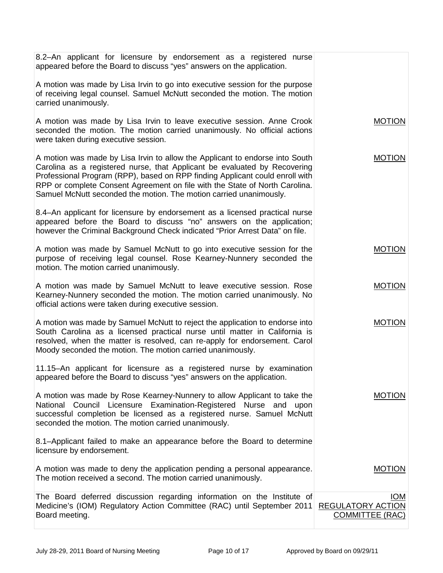| 8.2-An applicant for licensure by endorsement as a registered nurse<br>appeared before the Board to discuss "yes" answers on the application.                                                                                                                                                                                                                                                  |                                                                  |
|------------------------------------------------------------------------------------------------------------------------------------------------------------------------------------------------------------------------------------------------------------------------------------------------------------------------------------------------------------------------------------------------|------------------------------------------------------------------|
| A motion was made by Lisa Irvin to go into executive session for the purpose<br>of receiving legal counsel. Samuel McNutt seconded the motion. The motion<br>carried unanimously.                                                                                                                                                                                                              |                                                                  |
| A motion was made by Lisa Irvin to leave executive session. Anne Crook<br>seconded the motion. The motion carried unanimously. No official actions<br>were taken during executive session.                                                                                                                                                                                                     | <b>MOTION</b>                                                    |
| A motion was made by Lisa Irvin to allow the Applicant to endorse into South<br>Carolina as a registered nurse, that Applicant be evaluated by Recovering<br>Professional Program (RPP), based on RPP finding Applicant could enroll with<br>RPP or complete Consent Agreement on file with the State of North Carolina.<br>Samuel McNutt seconded the motion. The motion carried unanimously. | <b>MOTION</b>                                                    |
| 8.4–An applicant for licensure by endorsement as a licensed practical nurse<br>appeared before the Board to discuss "no" answers on the application;<br>however the Criminal Background Check indicated "Prior Arrest Data" on file.                                                                                                                                                           |                                                                  |
| A motion was made by Samuel McNutt to go into executive session for the<br>purpose of receiving legal counsel. Rose Kearney-Nunnery seconded the<br>motion. The motion carried unanimously.                                                                                                                                                                                                    | <b>MOTION</b>                                                    |
| A motion was made by Samuel McNutt to leave executive session. Rose<br>Kearney-Nunnery seconded the motion. The motion carried unanimously. No<br>official actions were taken during executive session.                                                                                                                                                                                        | <b>MOTION</b>                                                    |
| A motion was made by Samuel McNutt to reject the application to endorse into<br>South Carolina as a licensed practical nurse until matter in California is<br>resolved, when the matter is resolved, can re-apply for endorsement. Carol<br>Moody seconded the motion. The motion carried unanimously.                                                                                         | <b>MOTION</b>                                                    |
| 11.15–An applicant for licensure as a registered nurse by examination<br>appeared before the Board to discuss "yes" answers on the application.                                                                                                                                                                                                                                                |                                                                  |
| A motion was made by Rose Kearney-Nunnery to allow Applicant to take the<br>National Council Licensure Examination-Registered Nurse and upon<br>successful completion be licensed as a registered nurse. Samuel McNutt<br>seconded the motion. The motion carried unanimously.                                                                                                                 | <b>MOTION</b>                                                    |
| 8.1-Applicant failed to make an appearance before the Board to determine<br>licensure by endorsement.                                                                                                                                                                                                                                                                                          |                                                                  |
| A motion was made to deny the application pending a personal appearance.<br>The motion received a second. The motion carried unanimously.                                                                                                                                                                                                                                                      | <b>MOTION</b>                                                    |
| The Board deferred discussion regarding information on the Institute of<br>Medicine's (IOM) Regulatory Action Committee (RAC) until September 2011<br>Board meeting.                                                                                                                                                                                                                           | <b>IOM</b><br><b>REGULATORY ACTION</b><br><b>COMMITTEE (RAC)</b> |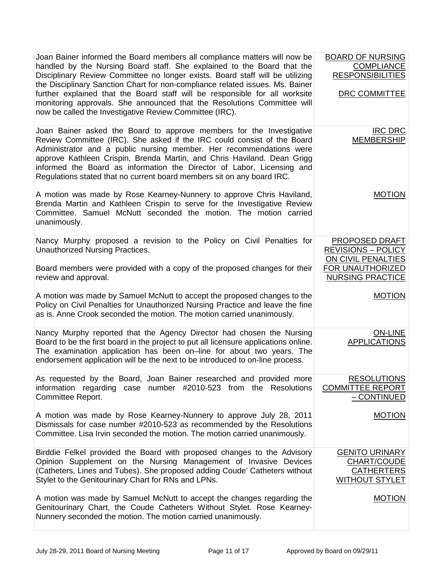| Joan Bainer informed the Board members all compliance matters will now be<br>handled by the Nursing Board staff. She explained to the Board that the<br>Disciplinary Review Committee no longer exists. Board staff will be utilizing<br>the Disciplinary Sanction Chart for non-compliance related issues. Ms. Bainer<br>further explained that the Board staff will be responsible for all worksite<br>monitoring approvals. She announced that the Resolutions Committee will<br>now be called the Investigative Review Committee (IRC). | <b>BOARD OF NURSING</b><br><b>COMPLIANCE</b><br><b>RESPONSIBILITIES</b><br><b>DRC COMMITTEE</b> |
|---------------------------------------------------------------------------------------------------------------------------------------------------------------------------------------------------------------------------------------------------------------------------------------------------------------------------------------------------------------------------------------------------------------------------------------------------------------------------------------------------------------------------------------------|-------------------------------------------------------------------------------------------------|
| Joan Bainer asked the Board to approve members for the Investigative<br>Review Committee (IRC). She asked if the IRC could consist of the Board<br>Administrator and a public nursing member. Her recommendations were<br>approve Kathleen Crispin, Brenda Martin, and Chris Haviland. Dean Grigg<br>informed the Board as information the Director of Labor, Licensing and<br>Regulations stated that no current board members sit on any board IRC.                                                                                       | <b>IRC DRC</b><br><b>MEMBERSHIP</b>                                                             |
| A motion was made by Rose Kearney-Nunnery to approve Chris Haviland,<br>Brenda Martin and Kathleen Crispin to serve for the Investigative Review<br>Committee. Samuel McNutt seconded the motion. The motion carried<br>unanimously.                                                                                                                                                                                                                                                                                                        | <b>MOTION</b>                                                                                   |
| Nancy Murphy proposed a revision to the Policy on Civil Penalties for<br>Unauthorized Nursing Practices.                                                                                                                                                                                                                                                                                                                                                                                                                                    | PROPOSED DRAFT<br><b>REVISIONS - POLICY</b><br>ON CIVIL PENALTIES                               |
| Board members were provided with a copy of the proposed changes for their<br>review and approval.                                                                                                                                                                                                                                                                                                                                                                                                                                           | <b>FOR UNAUTHORIZED</b><br><b>NURSING PRACTICE</b>                                              |
| A motion was made by Samuel McNutt to accept the proposed changes to the<br>Policy on Civil Penalties for Unauthorized Nursing Practice and leave the fine<br>as is. Anne Crook seconded the motion. The motion carried unanimously.                                                                                                                                                                                                                                                                                                        | <b>MOTION</b>                                                                                   |
| Nancy Murphy reported that the Agency Director had chosen the Nursing<br>Board to be the first board in the project to put all licensure applications online.<br>The examination application has been on-line for about two years. The<br>endorsement application will be the next to be introduced to on-line process.                                                                                                                                                                                                                     | <b>ON-LINE</b><br><b>APPLICATIONS</b>                                                           |
| As requested by the Board, Joan Bainer researched and provided more<br>information regarding case number #2010-523 from the Resolutions<br>Committee Report.                                                                                                                                                                                                                                                                                                                                                                                | <b>RESOLUTIONS</b><br><b>COMMITTEE REPORT</b><br>- CONTINUED                                    |
| A motion was made by Rose Kearney-Nunnery to approve July 28, 2011<br>Dismissals for case number #2010-523 as recommended by the Resolutions<br>Committee. Lisa Irvin seconded the motion. The motion carried unanimously.                                                                                                                                                                                                                                                                                                                  | <b>MOTION</b>                                                                                   |
| Birddie Felkel provided the Board with proposed changes to the Advisory<br>Opinion Supplement on the Nursing Management of Invasive Devices<br>(Catheters, Lines and Tubes). She proposed adding Coude' Catheters without<br>Stylet to the Genitourinary Chart for RNs and LPNs.                                                                                                                                                                                                                                                            | <b>GENITO URINARY</b><br>CHART/COUDE<br><b>CATHERTERS</b><br><b>WITHOUT STYLET</b>              |
| A motion was made by Samuel McNutt to accept the changes regarding the<br>Genitourinary Chart, the Coude Catheters Without Stylet. Rose Kearney-<br>Nunnery seconded the motion. The motion carried unanimously.                                                                                                                                                                                                                                                                                                                            | <b>MOTION</b>                                                                                   |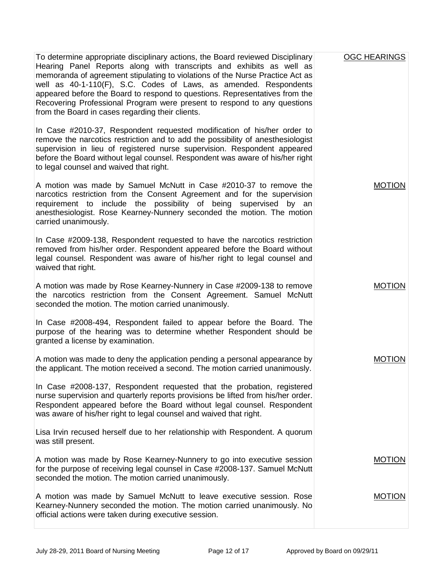| To determine appropriate disciplinary actions, the Board reviewed Disciplinary<br>Hearing Panel Reports along with transcripts and exhibits as well as<br>memoranda of agreement stipulating to violations of the Nurse Practice Act as<br>well as 40-1-110(F), S.C. Codes of Laws, as amended. Respondents<br>appeared before the Board to respond to questions. Representatives from the<br>Recovering Professional Program were present to respond to any questions<br>from the Board in cases regarding their clients. | <b>OGC HEARINGS</b> |
|----------------------------------------------------------------------------------------------------------------------------------------------------------------------------------------------------------------------------------------------------------------------------------------------------------------------------------------------------------------------------------------------------------------------------------------------------------------------------------------------------------------------------|---------------------|
| In Case #2010-37, Respondent requested modification of his/her order to<br>remove the narcotics restriction and to add the possibility of anesthesiologist<br>supervision in lieu of registered nurse supervision. Respondent appeared<br>before the Board without legal counsel. Respondent was aware of his/her right<br>to legal counsel and waived that right.                                                                                                                                                         |                     |
| A motion was made by Samuel McNutt in Case #2010-37 to remove the<br>narcotics restriction from the Consent Agreement and for the supervision<br>requirement to include the possibility of being supervised by an<br>anesthesiologist. Rose Kearney-Nunnery seconded the motion. The motion<br>carried unanimously.                                                                                                                                                                                                        | <b>MOTION</b>       |
| In Case #2009-138, Respondent requested to have the narcotics restriction<br>removed from his/her order. Respondent appeared before the Board without<br>legal counsel. Respondent was aware of his/her right to legal counsel and<br>waived that right.                                                                                                                                                                                                                                                                   |                     |
| A motion was made by Rose Kearney-Nunnery in Case #2009-138 to remove<br>the narcotics restriction from the Consent Agreement. Samuel McNutt<br>seconded the motion. The motion carried unanimously.                                                                                                                                                                                                                                                                                                                       | <b>MOTION</b>       |
| In Case #2008-494, Respondent failed to appear before the Board. The<br>purpose of the hearing was to determine whether Respondent should be<br>granted a license by examination.                                                                                                                                                                                                                                                                                                                                          |                     |
| A motion was made to deny the application pending a personal appearance by<br>the applicant. The motion received a second. The motion carried unanimously.                                                                                                                                                                                                                                                                                                                                                                 | <b>MOTION</b>       |
| In Case #2008-137, Respondent requested that the probation, registered<br>nurse supervision and quarterly reports provisions be lifted from his/her order.<br>Respondent appeared before the Board without legal counsel. Respondent<br>was aware of his/her right to legal counsel and waived that right.                                                                                                                                                                                                                 |                     |
| Lisa Irvin recused herself due to her relationship with Respondent. A quorum<br>was still present.                                                                                                                                                                                                                                                                                                                                                                                                                         |                     |
| A motion was made by Rose Kearney-Nunnery to go into executive session<br>for the purpose of receiving legal counsel in Case #2008-137. Samuel McNutt<br>seconded the motion. The motion carried unanimously.                                                                                                                                                                                                                                                                                                              | <b>MOTION</b>       |
| A motion was made by Samuel McNutt to leave executive session. Rose<br>Kearney-Nunnery seconded the motion. The motion carried unanimously. No<br>official actions were taken during executive session.                                                                                                                                                                                                                                                                                                                    | <b>MOTION</b>       |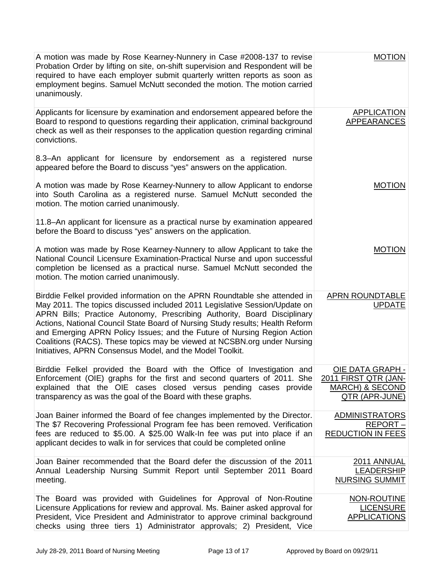| A motion was made by Rose Kearney-Nunnery in Case #2008-137 to revise<br>Probation Order by lifting on site, on-shift supervision and Respondent will be<br>required to have each employer submit quarterly written reports as soon as<br>employment begins. Samuel McNutt seconded the motion. The motion carried<br>unanimously.                                                                                                                                                                                                         | <b>MOTION</b>                                                                                          |
|--------------------------------------------------------------------------------------------------------------------------------------------------------------------------------------------------------------------------------------------------------------------------------------------------------------------------------------------------------------------------------------------------------------------------------------------------------------------------------------------------------------------------------------------|--------------------------------------------------------------------------------------------------------|
| Applicants for licensure by examination and endorsement appeared before the<br>Board to respond to questions regarding their application, criminal background<br>check as well as their responses to the application question regarding criminal<br>convictions.                                                                                                                                                                                                                                                                           | <b>APPLICATION</b><br><b>APPEARANCES</b>                                                               |
| 8.3–An applicant for licensure by endorsement as a registered nurse<br>appeared before the Board to discuss "yes" answers on the application.                                                                                                                                                                                                                                                                                                                                                                                              |                                                                                                        |
| A motion was made by Rose Kearney-Nunnery to allow Applicant to endorse<br>into South Carolina as a registered nurse. Samuel McNutt seconded the<br>motion. The motion carried unanimously.                                                                                                                                                                                                                                                                                                                                                | <b>MOTION</b>                                                                                          |
| 11.8-An applicant for licensure as a practical nurse by examination appeared<br>before the Board to discuss "yes" answers on the application.                                                                                                                                                                                                                                                                                                                                                                                              |                                                                                                        |
| A motion was made by Rose Kearney-Nunnery to allow Applicant to take the<br>National Council Licensure Examination-Practical Nurse and upon successful<br>completion be licensed as a practical nurse. Samuel McNutt seconded the<br>motion. The motion carried unanimously.                                                                                                                                                                                                                                                               | <b>MOTION</b>                                                                                          |
| Birddie Felkel provided information on the APRN Roundtable she attended in<br>May 2011. The topics discussed included 2011 Legislative Session/Update on<br>APRN Bills; Practice Autonomy, Prescribing Authority, Board Disciplinary<br>Actions, National Council State Board of Nursing Study results; Health Reform<br>and Emerging APRN Policy Issues; and the Future of Nursing Region Action<br>Coalitions (RACS). These topics may be viewed at NCSBN.org under Nursing<br>Initiatives, APRN Consensus Model, and the Model Toolkit. | APRN ROUNDTABLE<br><b>UPDATE</b>                                                                       |
| Birddie Felkel provided the Board with the Office of Investigation and<br>Enforcement (OIE) graphs for the first and second quarters of 2011. She<br>explained that the OIE cases closed versus pending cases provide<br>transparency as was the goal of the Board with these graphs.                                                                                                                                                                                                                                                      | <u>OIE DATA GRAPH -</u><br>2011 FIRST QTR (JAN-<br><b>MARCH) &amp; SECOND</b><br><b>QTR (APR-JUNE)</b> |
| Joan Bainer informed the Board of fee changes implemented by the Director.<br>The \$7 Recovering Professional Program fee has been removed. Verification<br>fees are reduced to \$5.00. A \$25.00 Walk-In fee was put into place if an<br>applicant decides to walk in for services that could be completed online                                                                                                                                                                                                                         | <b>ADMINISTRATORS</b><br>REPORT-<br><b>REDUCTION IN FEES</b>                                           |
| Joan Bainer recommended that the Board defer the discussion of the 2011<br>Annual Leadership Nursing Summit Report until September 2011 Board<br>meeting.                                                                                                                                                                                                                                                                                                                                                                                  | 2011 ANNUAL<br><b>LEADERSHIP</b><br><b>NURSING SUMMIT</b>                                              |
| The Board was provided with Guidelines for Approval of Non-Routine<br>Licensure Applications for review and approval. Ms. Bainer asked approval for<br>President, Vice President and Administrator to approve criminal background<br>checks using three tiers 1) Administrator approvals; 2) President, Vice                                                                                                                                                                                                                               | NON-ROUTINE<br><b>LICENSURE</b><br><b>APPLICATIONS</b>                                                 |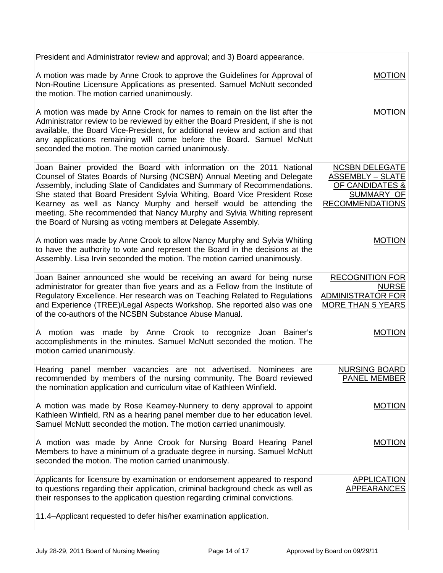| President and Administrator review and approval; and 3) Board appearance.                                                                                                                                                                                                                                                                                                                                                                                                                                                |                                                                                                             |
|--------------------------------------------------------------------------------------------------------------------------------------------------------------------------------------------------------------------------------------------------------------------------------------------------------------------------------------------------------------------------------------------------------------------------------------------------------------------------------------------------------------------------|-------------------------------------------------------------------------------------------------------------|
| A motion was made by Anne Crook to approve the Guidelines for Approval of<br>Non-Routine Licensure Applications as presented. Samuel McNutt seconded<br>the motion. The motion carried unanimously.                                                                                                                                                                                                                                                                                                                      | <b>MOTION</b>                                                                                               |
| A motion was made by Anne Crook for names to remain on the list after the<br>Administrator review to be reviewed by either the Board President, if she is not<br>available, the Board Vice-President, for additional review and action and that<br>any applications remaining will come before the Board. Samuel McNutt<br>seconded the motion. The motion carried unanimously.                                                                                                                                          | <b>MOTION</b>                                                                                               |
| Joan Bainer provided the Board with information on the 2011 National<br>Counsel of States Boards of Nursing (NCSBN) Annual Meeting and Delegate<br>Assembly, including Slate of Candidates and Summary of Recommendations.<br>She stated that Board President Sylvia Whiting, Board Vice President Rose<br>Kearney as well as Nancy Murphy and herself would be attending the<br>meeting. She recommended that Nancy Murphy and Sylvia Whiting represent<br>the Board of Nursing as voting members at Delegate Assembly. | <b>NCSBN DELEGATE</b><br><b>ASSEMBLY - SLATE</b><br>OF CANDIDATES &<br>SUMMARY OF<br><b>RECOMMENDATIONS</b> |
| A motion was made by Anne Crook to allow Nancy Murphy and Sylvia Whiting<br>to have the authority to vote and represent the Board in the decisions at the<br>Assembly. Lisa Irvin seconded the motion. The motion carried unanimously.                                                                                                                                                                                                                                                                                   | <b>MOTION</b>                                                                                               |
| Joan Bainer announced she would be receiving an award for being nurse<br>administrator for greater than five years and as a Fellow from the Institute of<br>Regulatory Excellence. Her research was on Teaching Related to Regulations<br>and Experience (TREE)/Legal Aspects Workshop. She reported also was one<br>of the co-authors of the NCSBN Substance Abuse Manual.                                                                                                                                              | <b>RECOGNITION FOR</b><br><b>NURSE</b><br><b>ADMINISTRATOR FOR</b><br><b>MORE THAN 5 YEARS</b>              |
| A motion was made by Anne Crook to recognize Joan Bainer's<br>accomplishments in the minutes. Samuel McNutt seconded the motion. The<br>motion carried unanimously.                                                                                                                                                                                                                                                                                                                                                      | <b>MOTION</b>                                                                                               |
| Hearing panel member vacancies are not advertised.<br>Nominees<br>are<br>recommended by members of the nursing community. The Board reviewed<br>the nomination application and curriculum vitae of Kathleen Winfield.                                                                                                                                                                                                                                                                                                    | <b>NURSING BOARD</b><br>PANEL MEMBER                                                                        |
| A motion was made by Rose Kearney-Nunnery to deny approval to appoint<br>Kathleen Winfield, RN as a hearing panel member due to her education level.<br>Samuel McNutt seconded the motion. The motion carried unanimously.                                                                                                                                                                                                                                                                                               | <b>MOTION</b>                                                                                               |
| A motion was made by Anne Crook for Nursing Board Hearing Panel<br>Members to have a minimum of a graduate degree in nursing. Samuel McNutt<br>seconded the motion. The motion carried unanimously.                                                                                                                                                                                                                                                                                                                      | <b>MOTION</b>                                                                                               |
| Applicants for licensure by examination or endorsement appeared to respond<br>to questions regarding their application, criminal background check as well as<br>their responses to the application question regarding criminal convictions.<br>11.4-Applicant requested to defer his/her examination application.                                                                                                                                                                                                        | <b>APPLICATION</b><br><b>APPEARANCES</b>                                                                    |
|                                                                                                                                                                                                                                                                                                                                                                                                                                                                                                                          |                                                                                                             |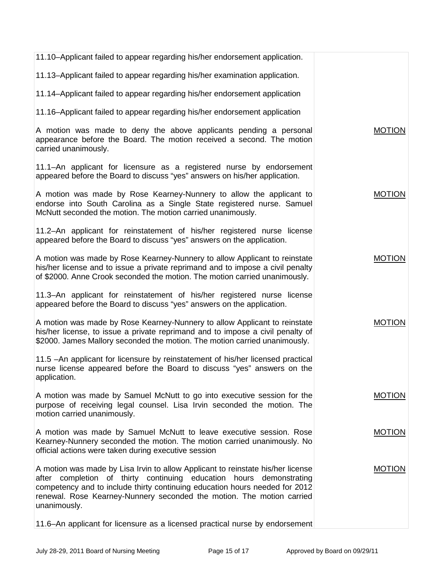| 11.10-Applicant failed to appear regarding his/her endorsement application.                                                                                                                                                                                                                                                    |               |
|--------------------------------------------------------------------------------------------------------------------------------------------------------------------------------------------------------------------------------------------------------------------------------------------------------------------------------|---------------|
| 11.13-Applicant failed to appear regarding his/her examination application.                                                                                                                                                                                                                                                    |               |
| 11.14-Applicant failed to appear regarding his/her endorsement application                                                                                                                                                                                                                                                     |               |
| 11.16-Applicant failed to appear regarding his/her endorsement application                                                                                                                                                                                                                                                     |               |
| A motion was made to deny the above applicants pending a personal<br>appearance before the Board. The motion received a second. The motion<br>carried unanimously.                                                                                                                                                             | <b>MOTION</b> |
| 11.1–An applicant for licensure as a registered nurse by endorsement<br>appeared before the Board to discuss "yes" answers on his/her application.                                                                                                                                                                             |               |
| A motion was made by Rose Kearney-Nunnery to allow the applicant to<br>endorse into South Carolina as a Single State registered nurse. Samuel<br>McNutt seconded the motion. The motion carried unanimously.                                                                                                                   | <b>MOTION</b> |
| 11.2-An applicant for reinstatement of his/her registered nurse license<br>appeared before the Board to discuss "yes" answers on the application.                                                                                                                                                                              |               |
| A motion was made by Rose Kearney-Nunnery to allow Applicant to reinstate<br>his/her license and to issue a private reprimand and to impose a civil penalty<br>of \$2000. Anne Crook seconded the motion. The motion carried unanimously.                                                                                      | <b>MOTION</b> |
| 11.3-An applicant for reinstatement of his/her registered nurse license<br>appeared before the Board to discuss "yes" answers on the application.                                                                                                                                                                              |               |
| A motion was made by Rose Kearney-Nunnery to allow Applicant to reinstate<br>his/her license, to issue a private reprimand and to impose a civil penalty of<br>\$2000. James Mallory seconded the motion. The motion carried unanimously.                                                                                      | <b>MOTION</b> |
| 11.5 -An applicant for licensure by reinstatement of his/her licensed practical<br>nurse license appeared before the Board to discuss "yes" answers on the<br>application.                                                                                                                                                     |               |
| A motion was made by Samuel McNutt to go into executive session for the<br>purpose of receiving legal counsel. Lisa Irvin seconded the motion. The<br>motion carried unanimously.                                                                                                                                              | <b>MOTION</b> |
| A motion was made by Samuel McNutt to leave executive session. Rose<br>Kearney-Nunnery seconded the motion. The motion carried unanimously. No<br>official actions were taken during executive session                                                                                                                         | <b>MOTION</b> |
| A motion was made by Lisa Irvin to allow Applicant to reinstate his/her license<br>after completion of thirty continuing education hours demonstrating<br>competency and to include thirty continuing education hours needed for 2012<br>renewal. Rose Kearney-Nunnery seconded the motion. The motion carried<br>unanimously. | <b>MOTION</b> |
| 11.6-An applicant for licensure as a licensed practical nurse by endorsement                                                                                                                                                                                                                                                   |               |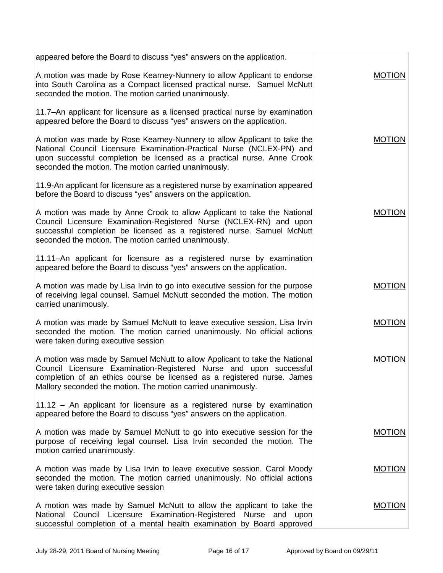| appeared before the Board to discuss "yes" answers on the application.                                                                                                                                                                                                                      |               |
|---------------------------------------------------------------------------------------------------------------------------------------------------------------------------------------------------------------------------------------------------------------------------------------------|---------------|
| A motion was made by Rose Kearney-Nunnery to allow Applicant to endorse<br>into South Carolina as a Compact licensed practical nurse. Samuel McNutt<br>seconded the motion. The motion carried unanimously.                                                                                 | <b>MOTION</b> |
| 11.7-An applicant for licensure as a licensed practical nurse by examination<br>appeared before the Board to discuss "yes" answers on the application.                                                                                                                                      |               |
| A motion was made by Rose Kearney-Nunnery to allow Applicant to take the<br>National Council Licensure Examination-Practical Nurse (NCLEX-PN) and<br>upon successful completion be licensed as a practical nurse. Anne Crook<br>seconded the motion. The motion carried unanimously.        | <b>MOTION</b> |
| 11.9-An applicant for licensure as a registered nurse by examination appeared<br>before the Board to discuss "yes" answers on the application.                                                                                                                                              |               |
| A motion was made by Anne Crook to allow Applicant to take the National<br>Council Licensure Examination-Registered Nurse (NCLEX-RN) and upon<br>successful completion be licensed as a registered nurse. Samuel McNutt<br>seconded the motion. The motion carried unanimously.             | <b>MOTION</b> |
| 11.11–An applicant for licensure as a registered nurse by examination<br>appeared before the Board to discuss "yes" answers on the application.                                                                                                                                             |               |
| A motion was made by Lisa Irvin to go into executive session for the purpose<br>of receiving legal counsel. Samuel McNutt seconded the motion. The motion<br>carried unanimously.                                                                                                           | <b>MOTION</b> |
| A motion was made by Samuel McNutt to leave executive session. Lisa Irvin<br>seconded the motion. The motion carried unanimously. No official actions<br>were taken during executive session                                                                                                | <b>MOTION</b> |
| A motion was made by Samuel McNutt to allow Applicant to take the National<br>Council Licensure Examination-Registered Nurse and upon successful<br>completion of an ethics course be licensed as a registered nurse. James<br>Mallory seconded the motion. The motion carried unanimously. | <b>MOTION</b> |
| 11.12 - An applicant for licensure as a registered nurse by examination<br>appeared before the Board to discuss "yes" answers on the application.                                                                                                                                           |               |
| A motion was made by Samuel McNutt to go into executive session for the<br>purpose of receiving legal counsel. Lisa Irvin seconded the motion. The<br>motion carried unanimously.                                                                                                           | <b>MOTION</b> |
| A motion was made by Lisa Irvin to leave executive session. Carol Moody<br>seconded the motion. The motion carried unanimously. No official actions<br>were taken during executive session                                                                                                  | <b>MOTION</b> |
| A motion was made by Samuel McNutt to allow the applicant to take the<br>National Council Licensure Examination-Registered Nurse and upon<br>successful completion of a mental health examination by Board approved                                                                         | <b>MOTION</b> |